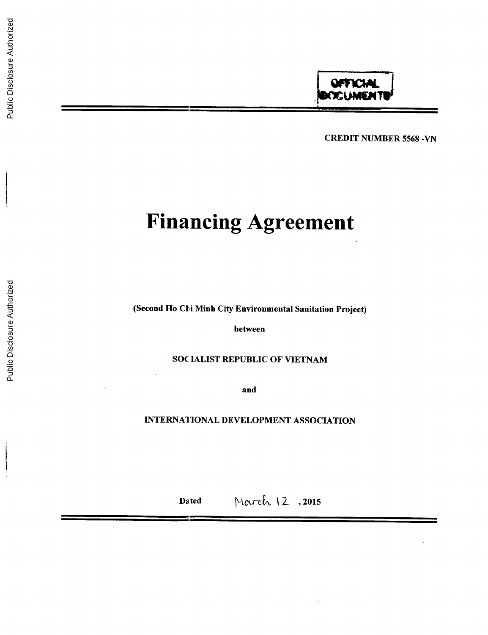CREDIT **NUMBER 5568 -VN**

# **Financing Agreement**

(Second Ho Chi Minh City Environmental Sanitation Project)

between

**SOC IALIST** REPUBLIC OF **VIETNAM**

and

**INTERNATIONAL DEVELOPMENT ASSOCIATION**

Dated March 12, 2015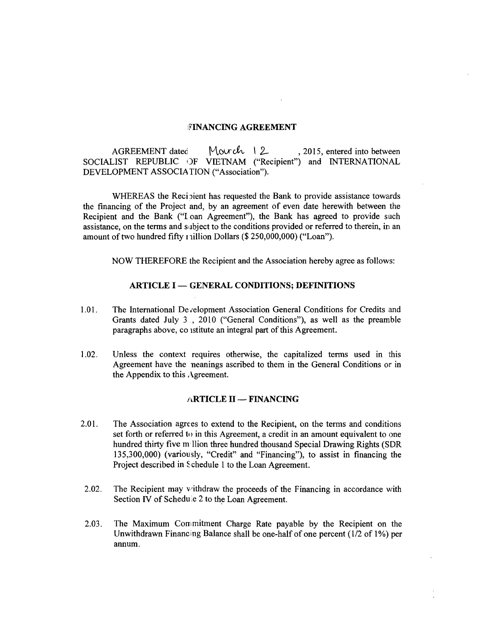#### **FINANCING AGREEMENT**

**AGREEMENT** dated Mourch 12, 2015, entered into between **SOCIALIST** REPUBLIC OF **VIETNAM** ("Recipient") and **INTERNATIONAL DEVELOPMENT ASSOCIATION** ("Association").

WHEREAS the Recipient has requested the Bank to provide assistance towards the financing of the Project and, **by** an agreement of even date herewith between the Recipient and the Bank **("I** oan Agreement"), the Bank has agreed to provide such assistance, on the terms and subject to the conditions provided or referred to therein, in an amount of two hundred fifty nillion Dollars **(\$ 250,000,000)** ("Loan").

NOW THEREFORE the Recipient and the Association hereby agree as follows:

#### **ARTICLE I - GENERAL CONDITIONS; DEFINITIONS**

- **1.01.** The International Development Association General Conditions for Credits and Grants dated July **3 ,** 2010 ("General Conditions"), as well as the preamble paragraphs above, co istitute an integral part of this Agreement.
- 1.02. Unless the context requires otherwise, the capitalized terms used in this Agreement have the neanings ascribed to them in the General Conditions or in the Appendix to this Agreement.

#### **ARTICLE II - FINANCING**

- 2.01. The Association agrees to extend to the Recipient, on the terms and conditions set forth or referred to in this Agreement, a credit in an amount equivalent to one hundred thirty five m Ilion three hundred thousand Special Drawing Rights **(SDR 135,300,000)** (variously, "Credit" and "Financing"), to assist in financing the Project described in Schedule 1 to the Loan Agreement.
- 2.02. The Recipient may withdraw the proceeds of the Financing in accordance with Section IV of Schedule 2 to the Loan Agreement
- **2.03.** The Maximum Commitment Charge Rate payable **by** the Recipient on the Unwithdrawn Financing Balance shall be one-half of one percent (1/2 of **1%)** per annum.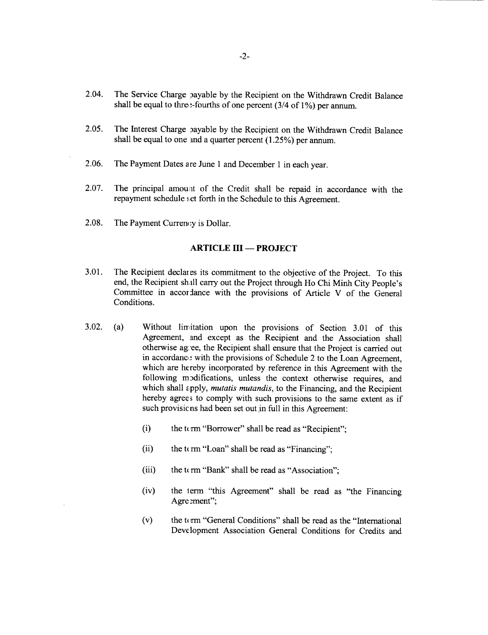- 2.04. The Service Charge 'ayable **by** the Recipient on the Withdrawn Credit Balance shall be equal to thre.:-fourths of one percent (3/4 of 1%) per annum.
- 2.05. The Interest Charge payable by the Recipient on the Withdrawn Credit Balance shall be equal to one ind a quarter percent *(1.25%)* per annum.
- **2.06.** The Payment Dates a re June 1 and December 1 in each year.
- 2.07. The principal amount of the Credit shall be repaid in accordance with the repayment schedule set forth in the Schedule to this Agreement.
- **2.08.** The Payment Currency is Dollar.

#### **ARTICLE III - PROJECT**

- **3.01.** The Recipient declar es its commitment to the objective of the Project. To this end, the Recipient shall carry out the Project through Ho Chi Minh City People's Committee in accor lance with the provisions of Article V of the General Conditions.
- **3.02.** (a) Without limitation upon the provisions of Section **3.01** of this Agreement, and except as the Recipient and the Association shall otherwise ag ee, the Recipient shall ensure that the Project is carried out in accordance with the provisions of Schedule 2 to the Loan Agreement, which are hereby incorporated by reference in this Agreement with the following modifications, unless the context otherwise requires, and which shall zpply, *mutatis mutandis,* to the Financing, and the Recipient hereby agrees to comply with such provisions to the same extent as if such provisicns had been set out in full in this Agreement:
	- (i) the t(rm "Borrower" shall be read as "Recipient";
	- (ii) the  $t \in \mathfrak{m}$  "Loan" shall be read as "Financing";
	- (iii) the term "Bank" shall be read as "Association";
	- (iv) the lerm "this Agreement" shall be read as "the Financing Agre ement";
	- **(v)** the term "General Conditions" shall be read as the "International Development Association General Conditions for Credits and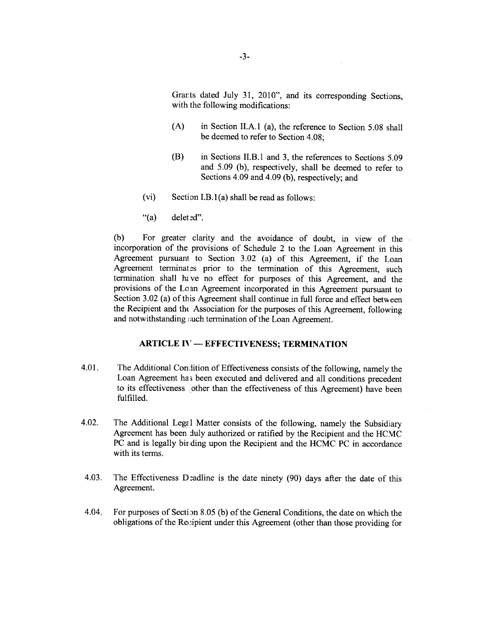Grarts dated July **31,** 2010", and its corresponding Sections, with the following modifications:

- **(A)** in Section **II.A.1** (a), the reference to Section *5.08* shall be deemed to refer to Section 4.08;
- (B) in Sections II.B.1 and **3,** the references to Sections **5.09** and **5.09 (b),** respectively, shall be deemed to refer to Sections 4.09 and 4.09 **(b),** respectively; and
- $(vi)$  Section I.B.1(a) shall be read as follows:
- " $(a)$  delet  $ed$ ".

**(b)** For greater clarity and the avoidance of doubt, in view of the incorporation of the provisions of Schedule 2 to the Loan Agreement in this Agreement pursuant to Section **3.02** (a) of this Agreement, if the Loan Agreement terminates prior to the termination of this Agreement, such termination shall have no effect for purposes of this Agreement, and the provisions of the Lo an Agreement incorporated in this Agreement pursuant to Section **3.02** (a) of tis Agreement shall continue in **full** force and effect between the Recipient and the Association for the purposes of this Agreement, following and notwithstanding such termination of the Loan Agreement.

## **ARTICLE IV - EFFECTIVENESS; TERMINATION**

- 4.01. The Additional Condition of Effectiveness consists of the following, namely the Loan Agreement ha; been executed and delivered and all conditions precedent to its effectiveness other than the effectiveness of this Agreement) have been fulfilled.
- 4.02. The Additional Legal Matter consists of the following, namely the Subsidiary Agreement has been duly authorized or ratified **by** the Recipient and the HCMC **PC** and is legally bir ding upon the Recipient and the **HCMC PC** in accordance with its terms.
- 4.03. The Effectiveness Deadline is the date ninety (90) days after the date of this Agreement.
- 4.04. For purposes of Secti n **8.05 (b)** of the General Conditions, the date on which the obligations of the Revipient under this Agreement (other than those providing for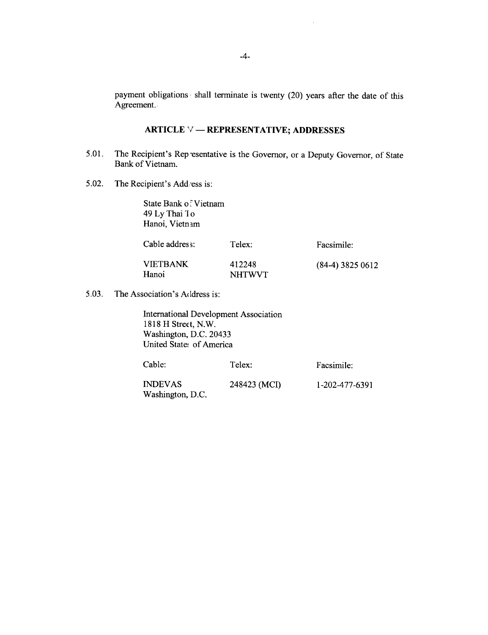payment obligations shall terminate is twenty (20) years after the date of this Agreement.

## **ARTICLE V - REPRESENTATIVE; ADDRESSES**

- 5.01. The Recipient's Rep esentative is the Governor, or a Deputy Governor, of State Bank of Vietnam.
- 5.02. The Recipient's Addess is:

State Bank of Vietnam 49 **Ly** Thai **Ilo** Hanoi, Vietnam

| Cable address:           | Telex:                  | Facsimile:         |
|--------------------------|-------------------------|--------------------|
| <b>VIETBANK</b><br>Hanoi | 412248<br><b>NHTWVT</b> | $(84-4)$ 3825 0612 |

5.03. The Association's Address is:

International Development Association **1818** H Strect, N.W. Washington, **D.C.** 20433 United State, of America

| Cable:         | Telex:       | Facsimile:     |
|----------------|--------------|----------------|
| <b>INDEVAS</b> | 248423 (MCI) | 1-202-477-6391 |

Washington, **D.C.**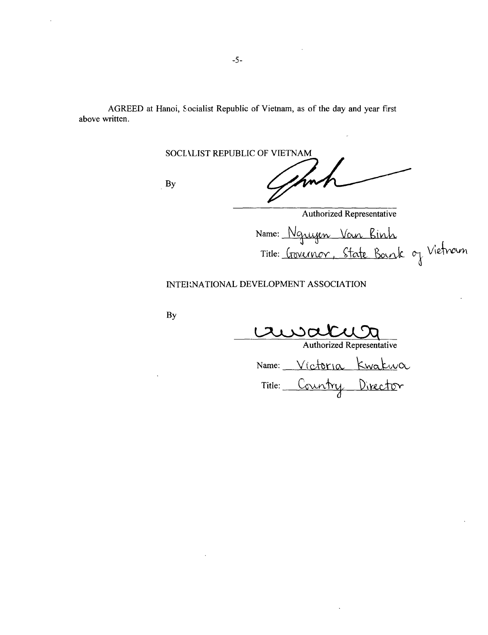AGREED at Hanoi, Socialist Republic of Vietnam, as of the day and year first above written.

**SOCL kLIST** REPUBLIC OF **VIETNAM**

**By**

short

Authorized Representative Name: Nguyen Van Binh Title: <u>Governor, State Bourk</u> of Vietnam

## **INTERNATIONAL DEVELOPMENT ASSOCIATION**

**By**

Authorized Representative

Name: Victoria Kwakwa Title: Country Director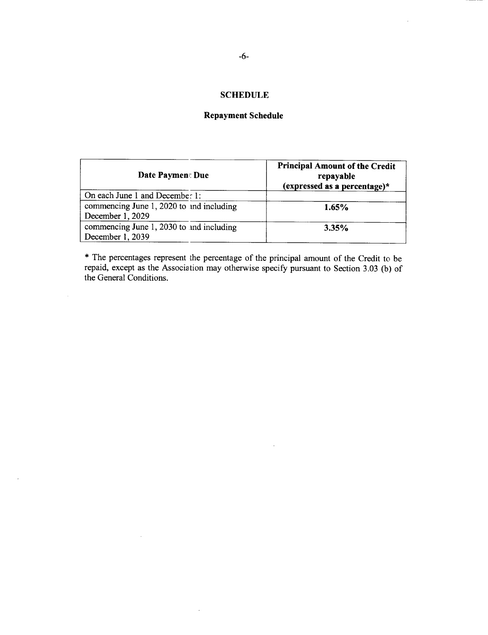# **SCHEDULE**

# **Repayment Schedule**

| Date Paymen: Due                                             | <b>Principal Amount of the Credit</b><br>repayable<br>(expressed as a percentage)* |
|--------------------------------------------------------------|------------------------------------------------------------------------------------|
| On each June 1 and December 1:                               |                                                                                    |
| commencing June 1, 2020 to and including<br>December 1, 2029 | 1.65%                                                                              |
| commencing June 1, 2030 to and including<br>December 1, 2039 | 3.35%                                                                              |

**\*** The percentages represent the percentage of the principal amount of the Credit to be repaid, except as the Association may otherwise specify pursuant to Section **3.03 (b)** of the General Conditions.

 $\cdot$ 

 $\sim$ 

 $\sim 10^6$ 

 $\bar{\mathcal{A}}$